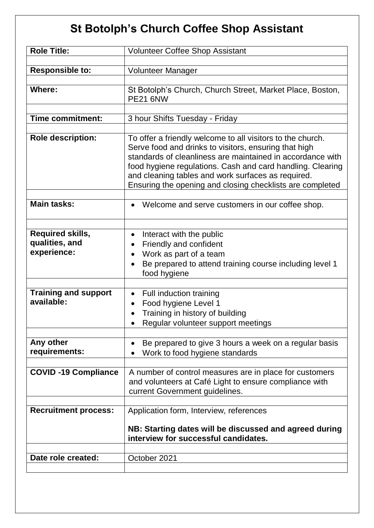## **St Botolph's Church Coffee Shop Assistant**

| <b>Role Title:</b>                                       | <b>Volunteer Coffee Shop Assistant</b>                                                                                                                                                                                                                                                                                                                             |
|----------------------------------------------------------|--------------------------------------------------------------------------------------------------------------------------------------------------------------------------------------------------------------------------------------------------------------------------------------------------------------------------------------------------------------------|
| <b>Responsible to:</b>                                   | Volunteer Manager                                                                                                                                                                                                                                                                                                                                                  |
| <b>Where:</b>                                            | St Botolph's Church, Church Street, Market Place, Boston,<br><b>PE21 6NW</b>                                                                                                                                                                                                                                                                                       |
| <b>Time commitment:</b>                                  | 3 hour Shifts Tuesday - Friday                                                                                                                                                                                                                                                                                                                                     |
| <b>Role description:</b>                                 | To offer a friendly welcome to all visitors to the church.<br>Serve food and drinks to visitors, ensuring that high<br>standards of cleanliness are maintained in accordance with<br>food hygiene regulations. Cash and card handling. Clearing<br>and cleaning tables and work surfaces as required.<br>Ensuring the opening and closing checklists are completed |
| <b>Main tasks:</b>                                       | Welcome and serve customers in our coffee shop.                                                                                                                                                                                                                                                                                                                    |
| <b>Required skills,</b><br>qualities, and<br>experience: | Interact with the public<br>Friendly and confident<br>Work as part of a team<br>Be prepared to attend training course including level 1<br>food hygiene                                                                                                                                                                                                            |
| <b>Training and support</b><br>available:                | Full induction training<br>$\bullet$<br>Food hygiene Level 1<br>Training in history of building<br>Regular volunteer support meetings                                                                                                                                                                                                                              |
| Any other<br>requirements:                               | Be prepared to give 3 hours a week on a regular basis<br>Work to food hygiene standards                                                                                                                                                                                                                                                                            |
| <b>COVID-19 Compliance</b>                               | A number of control measures are in place for customers<br>and volunteers at Café Light to ensure compliance with<br>current Government guidelines.                                                                                                                                                                                                                |
| <b>Recruitment process:</b>                              | Application form, Interview, references<br>NB: Starting dates will be discussed and agreed during<br>interview for successful candidates.                                                                                                                                                                                                                          |
| Date role created:                                       | October 2021                                                                                                                                                                                                                                                                                                                                                       |